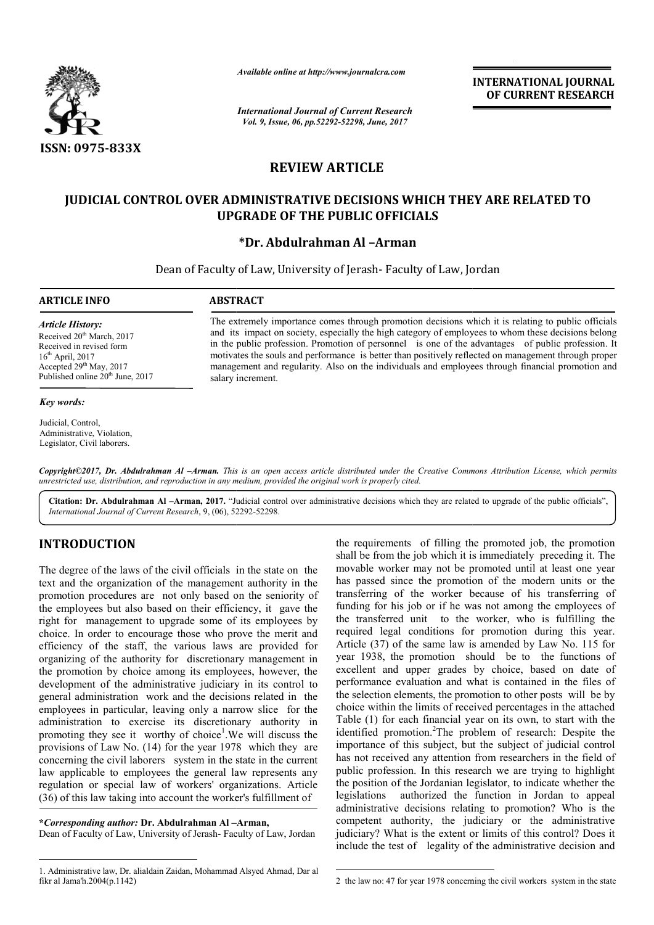

*Available online at http://www.journalcra.com*

*International Journal of Current Research Vol. 9, Issue, 06, pp.52292-52298, June, 2017*

**INTERNATIONAL JOURNAL OF CURRENT RESEARCH** 

# **REVIEW ARTICLE**

# **JUDICIAL CONTROL OVER ADMINISTRATIVE DECISIONS WHICH THEY ARE RELATED TO TO UPGRADE OF THE PUBLIC OFFICIALS**

## **\*Dr. Abdulrahman Al –Arman**

Dean of Faculty of Law, University of Jerash- Faculty of Law, Jordan Jordan

## **ARTICLE INFO ABSTRACT**

*Article History:* Received 20<sup>th</sup> March, 2017 Received in revised form 16th April, 2017 Accepted 29<sup>th</sup> May, 2017 Published online  $20<sup>th</sup>$  June, 2017

#### *Key words:*

Judicial, Control, Administrative, Violation. Legislator, Civil laborers.

The extremely importance comes through promotion decisions which it is relating to public officials and its impact on society, especially the high category of employees to whom these decisions belong in the public profession. Promotion of personnel is one of the advantages of public profession. It motivates the souls and performance is better than positively reflected on management through proper management and regularity. Also on the individuals and employees through financial promotion and salary increment. and its impact on society, especially the high category of employees to whom these decisions belon<br>in the public profession. Promotion of personnel is one of the advantages of public profession.<br>motivates the souls and per

Copyright©2017, Dr. Abdulrahman Al –Arman. This is an open access article distributed under the Creative Commons Attribution License, which permits *unrestricted use, distribution, and reproduction in any medium, provided the original work is properly cited.*

Citation: Dr. Abdulrahman Al -Arman, 2017. "Judicial control over administrative decisions which they are related to upgrade of the public officials", *International Journal of Current Research*, 9, (06), 52292 52292-52298.

# **INTRODUCTION**

The degree of the laws of the civil officials in the state on the text and the organization of the management authority in the promotion procedures are not only based on the seniority of the employees but also based on their efficiency, it gave the right for management to upgrade some of its employees by choice. In order to encourage those who prove the merit and efficiency of the staff, the various laws are provided for organizing of the authority for discretionary management in the promotion by choice among its employees, however, the development of the administrative judiciary in its control to general administration work and the decisions related in the employees in particular, leaving only a narrow slice for the the promotion by choice among its employees, however, the development of the administrative judiciary in its control to general administration work and the decisions related in the employees in particular, leaving only a n promoting they see it worthy of choice<sup>1</sup>. We will discuss the provisions of Law No. (14) for the year 1978 which they are concerning the civil laborers system in the state in the current law applicable to employees the general law represents any regulation or special law of workers' organizations. Article (36) of this law taking into account the worker's fulfillment of

**\****Corresponding author:* **Dr. Abdulrahman Al – –Arman,**

Dean of Faculty of Law, University of Jerash- Faculty of Law, Jordan

the requirements of filling the promoted job, the promotion shall be from the job which it is immediately preceding it. The movable worker may not be promoted until at least one year movable worker may not be promoted until at least one year<br>has passed since the promotion of the modern units or the transferring of the worker because of his transferring of funding for his job or if he was not among the employees of the transferred unit to the worker, who is fulfilling the required legal conditions for promotion during this year. Article (37) of the same law is amended by Law No. 115 for year 1938, the promotion should be to the functions of year 1938, the promotion should be to the functions of excellent and upper grades by choice, based on date of performance evaluation and what is contained in the files of the selection elements, the promotion to other posts will be by choice within the limits of received percentages in the attached Table (1) for each financial year on its own, to start with the identified promotion.<sup>2</sup>The problem of research: Despite the importance of this subject, but the subject of judicial control has not received any attention from researchers in the field of public profession. In this research we are trying to highlight public profession. In this research we are trying to highlight the position of the Jordanian legislator, to indicate whether the legislations authorized the function in Jordan to appeal legislations authorized the function in Jordan to appeal administrative decisions relating to promotion? Who is the competent authority, the judiciary or the administrative judiciary? What is the extent or limits of this control? Does it include the test of legality of the administrative decision and ring of the worker because of his transferring of<br>for his job or if he was not among the employees of<br>nsferred unit to the worker, who is fulfilling the<br>d legal conditions for promotion during this year.<br>(37) of the same l performance evaluation and what is contained in the files of the selection elements, the promotion to other posts will be by choice within the limits of received percentages in the attached Table (1) for each financial yea *FREE CONFIERNATIONAL JOURNAL CONFIERNATIONAL JOURNAL CONFIERNATIONAL JOURNAL CONFIERNATIONAL JOURNAL CONFIERNATION AND OF CURRENT RESEARCH<br> CONFIERNATIONS <i>Control* **CONFIENT AND CONFIEND TO UBLIC OFFICIALS**<br> **CONFIE** 

 <sup>1.</sup> Administrative law, Dr. alialdain Zaidan, Mohammad Alsyed Ahmad, Dar al fikr al Jama'h.2004(p.1142)

 <sup>2</sup> the law no: 47 for year 1978 concerning the civil workers system in the state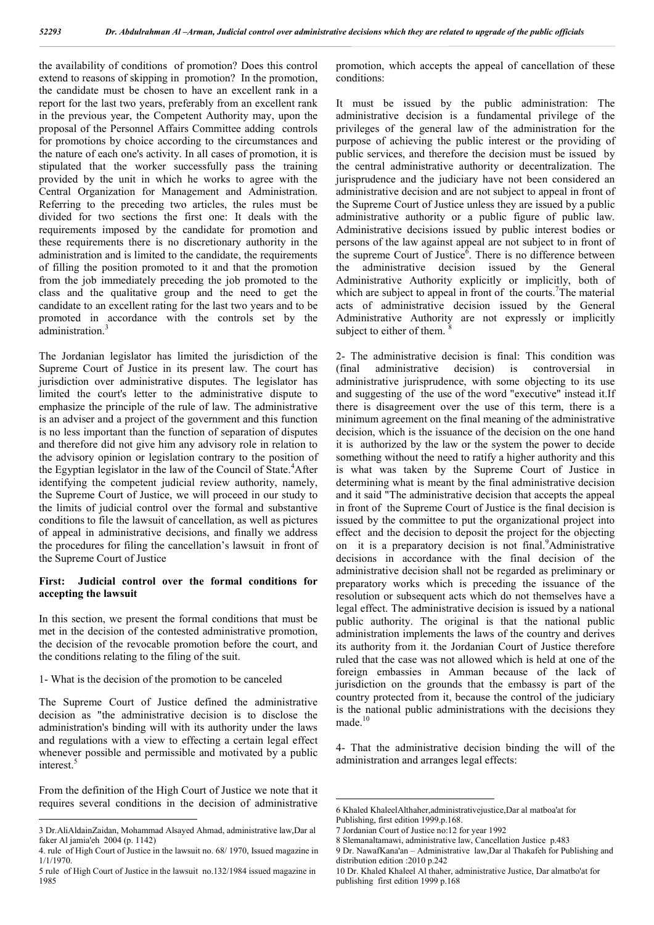the availability of conditions of promotion? Does this control extend to reasons of skipping in promotion? In the promotion, the candidate must be chosen to have an excellent rank in a report for the last two years, preferably from an excellent rank in the previous year, the Competent Authority may, upon the proposal of the Personnel Affairs Committee adding controls for promotions by choice according to the circumstances and the nature of each one's activity. In all cases of promotion, it is stipulated that the worker successfully pass the training provided by the unit in which he works to agree with the Central Organization for Management and Administration. Referring to the preceding two articles, the rules must be divided for two sections the first one: It deals with the requirements imposed by the candidate for promotion and these requirements there is no discretionary authority in the administration and is limited to the candidate, the requirements of filling the position promoted to it and that the promotion from the job immediately preceding the job promoted to the class and the qualitative group and the need to get the candidate to an excellent rating for the last two years and to be promoted in accordance with the controls set by the administration.<sup>3</sup>

The Jordanian legislator has limited the jurisdiction of the Supreme Court of Justice in its present law. The court has jurisdiction over administrative disputes. The legislator has limited the court's letter to the administrative dispute to emphasize the principle of the rule of law. The administrative is an adviser and a project of the government and this function is no less important than the function of separation of disputes and therefore did not give him any advisory role in relation to the advisory opinion or legislation contrary to the position of the Egyptian legislator in the law of the Council of State.<sup>4</sup>After identifying the competent judicial review authority, namely, the Supreme Court of Justice, we will proceed in our study to the limits of judicial control over the formal and substantive conditions to file the lawsuit of cancellation, as well as pictures of appeal in administrative decisions, and finally we address the procedures for filing the cancellation's lawsuit in front of the Supreme Court of Justice

## **First: Judicial control over the formal conditions for accepting the lawsuit**

In this section, we present the formal conditions that must be met in the decision of the contested administrative promotion, the decision of the revocable promotion before the court, and the conditions relating to the filing of the suit.

#### 1- What is the decision of the promotion to be canceled

The Supreme Court of Justice defined the administrative decision as "the administrative decision is to disclose the administration's binding will with its authority under the laws and regulations with a view to effecting a certain legal effect whenever possible and permissible and motivated by a public interest.<sup>5</sup>

From the definition of the High Court of Justice we note that it requires several conditions in the decision of administrative promotion, which accepts the appeal of cancellation of these conditions:

It must be issued by the public administration: The administrative decision is a fundamental privilege of the privileges of the general law of the administration for the purpose of achieving the public interest or the providing of public services, and therefore the decision must be issued by the central administrative authority or decentralization. The jurisprudence and the judiciary have not been considered an administrative decision and are not subject to appeal in front of the Supreme Court of Justice unless they are issued by a public administrative authority or a public figure of public law. Administrative decisions issued by public interest bodies or persons of the law against appeal are not subject to in front of the supreme Court of Justice<sup> $6$ </sup>. There is no difference between the administrative decision issued by the General Administrative Authority explicitly or implicitly, both of which are subject to appeal in front of the courts.<sup>7</sup>The material acts of administrative decision issued by the General Administrative Authority are not expressly or implicitly subject to either of them.

2- The administrative decision is final: This condition was (final administrative decision) is controversial in administrative jurisprudence, with some objecting to its use and suggesting of the use of the word "executive" instead it.If there is disagreement over the use of this term, there is a minimum agreement on the final meaning of the administrative decision, which is the issuance of the decision on the one hand it is authorized by the law or the system the power to decide something without the need to ratify a higher authority and this is what was taken by the Supreme Court of Justice in determining what is meant by the final administrative decision and it said "The administrative decision that accepts the appeal in front of the Supreme Court of Justice is the final decision is issued by the committee to put the organizational project into effect and the decision to deposit the project for the objecting on it is a preparatory decision is not final.<sup>9</sup>Administrative decisions in accordance with the final decision of the administrative decision shall not be regarded as preliminary or preparatory works which is preceding the issuance of the resolution or subsequent acts which do not themselves have a legal effect. The administrative decision is issued by a national public authority. The original is that the national public administration implements the laws of the country and derives its authority from it. the Jordanian Court of Justice therefore ruled that the case was not allowed which is held at one of the foreign embassies in Amman because of the lack of jurisdiction on the grounds that the embassy is part of the country protected from it, because the control of the judiciary is the national public administrations with the decisions they made.<sup>10</sup>

4- That the administrative decision binding the will of the administration and arranges legal effects:

 <sup>3</sup> Dr.AliAldainZaidan, Mohammad Alsayed Ahmad, administrative law,Dar al faker Al jamia'eh 2004 (p. 1142)

<sup>4.</sup> rule of High Court of Justice in the lawsuit no. 68/ 1970, Issued magazine in 1/1/1970.

<sup>5</sup> rule of High Court of Justice in the lawsuit no.132/1984 issued magazine in 1985

 <sup>6</sup> Khaled KhaleelAlthaher,administrativejustice,Dar al matboa'at for Publishing, first edition 1999.p.168.

<sup>7</sup> Jordanian Court of Justice no:12 for year 1992

<sup>8</sup> Slemanaltamawi, administrative law, Cancellation Justice p.483

<sup>9</sup> Dr. NawafKana'an – Administrative law,Dar al Thakafeh for Publishing and distribution edition :2010 p.242

<sup>10</sup> Dr. Khaled Khaleel Al thaher, administrative Justice, Dar almatbo'at for publishing first edition 1999 p.168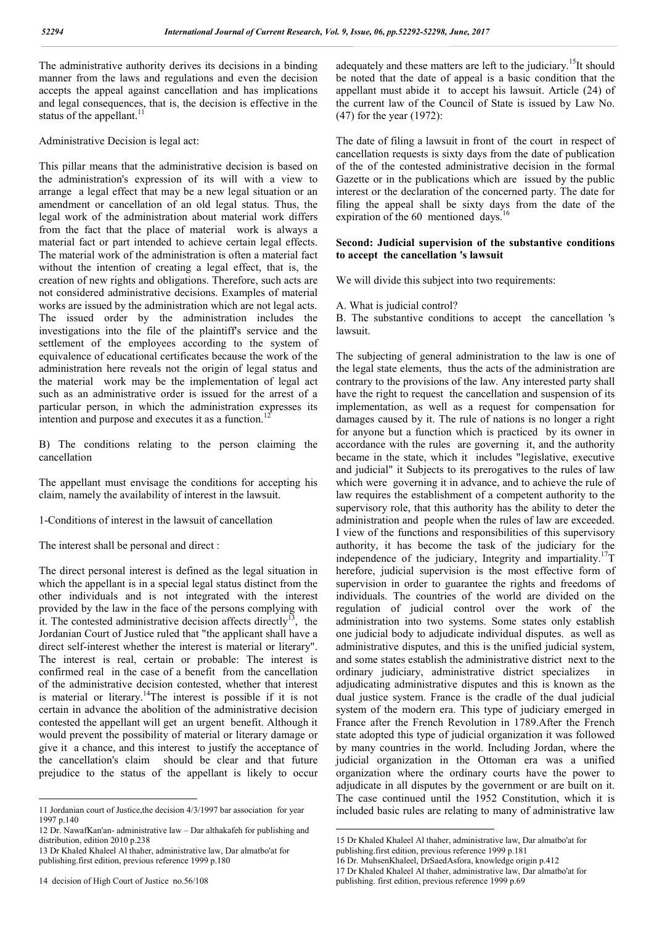The administrative authority derives its decisions in a binding manner from the laws and regulations and even the decision accepts the appeal against cancellation and has implications and legal consequences, that is, the decision is effective in the status of the appellant.<sup>11</sup>

Administrative Decision is legal act:

This pillar means that the administrative decision is based on the administration's expression of its will with a view to arrange a legal effect that may be a new legal situation or an amendment or cancellation of an old legal status. Thus, the legal work of the administration about material work differs from the fact that the place of material work is always a material fact or part intended to achieve certain legal effects. The material work of the administration is often a material fact without the intention of creating a legal effect, that is, the creation of new rights and obligations. Therefore, such acts are not considered administrative decisions. Examples of material works are issued by the administration which are not legal acts. The issued order by the administration includes the investigations into the file of the plaintiff's service and the settlement of the employees according to the system of equivalence of educational certificates because the work of the administration here reveals not the origin of legal status and the material work may be the implementation of legal act such as an administrative order is issued for the arrest of a particular person, in which the administration expresses its intention and purpose and executes it as a function.

B) The conditions relating to the person claiming the cancellation

The appellant must envisage the conditions for accepting his claim, namely the availability of interest in the lawsuit.

1-Conditions of interest in the lawsuit of cancellation

The interest shall be personal and direct :

The direct personal interest is defined as the legal situation in which the appellant is in a special legal status distinct from the other individuals and is not integrated with the interest provided by the law in the face of the persons complying with it. The contested administrative decision affects directly<sup>13</sup>, the Jordanian Court of Justice ruled that "the applicant shall have a direct self-interest whether the interest is material or literary". The interest is real, certain or probable: The interest is confirmed real in the case of a benefit from the cancellation of the administrative decision contested, whether that interest is material or literary.14The interest is possible if it is not certain in advance the abolition of the administrative decision contested the appellant will get an urgent benefit. Although it would prevent the possibility of material or literary damage or give it a chance, and this interest to justify the acceptance of the cancellation's claim should be clear and that future prejudice to the status of the appellant is likely to occur

adequately and these matters are left to the judiciary.<sup>15</sup>It should be noted that the date of appeal is a basic condition that the appellant must abide it to accept his lawsuit. Article (24) of the current law of the Council of State is issued by Law No. (47) for the year (1972):

The date of filing a lawsuit in front of the court in respect of cancellation requests is sixty days from the date of publication of the of the contested administrative decision in the formal Gazette or in the publications which are issued by the public interest or the declaration of the concerned party. The date for filing the appeal shall be sixty days from the date of the expiration of the 60 mentioned days.<sup>16</sup>

## **Second: Judicial supervision of the substantive conditions to accept the cancellation 's lawsuit**

We will divide this subject into two requirements:

## A. What is judicial control?

B. The substantive conditions to accept the cancellation 's lawsuit.

The subjecting of general administration to the law is one of the legal state elements, thus the acts of the administration are contrary to the provisions of the law. Any interested party shall have the right to request the cancellation and suspension of its implementation, as well as a request for compensation for damages caused by it. The rule of nations is no longer a right for anyone but a function which is practiced by its owner in accordance with the rules are governing it, and the authority became in the state, which it includes "legislative, executive and judicial" it Subjects to its prerogatives to the rules of law which were governing it in advance, and to achieve the rule of law requires the establishment of a competent authority to the supervisory role, that this authority has the ability to deter the administration and people when the rules of law are exceeded. I view of the functions and responsibilities of this supervisory authority, it has become the task of the judiciary for the independence of the judiciary, Integrity and impartiality.<sup>17</sup>T herefore, judicial supervision is the most effective form of supervision in order to guarantee the rights and freedoms of individuals. The countries of the world are divided on the regulation of judicial control over the work of the administration into two systems. Some states only establish one judicial body to adjudicate individual disputes. as well as administrative disputes, and this is the unified judicial system, and some states establish the administrative district next to the ordinary judiciary, administrative district specializes in adjudicating administrative disputes and this is known as the dual justice system. France is the cradle of the dual judicial system of the modern era. This type of judiciary emerged in France after the French Revolution in 1789.After the French state adopted this type of judicial organization it was followed by many countries in the world. Including Jordan, where the judicial organization in the Ottoman era was a unified organization where the ordinary courts have the power to adjudicate in all disputes by the government or are built on it. The case continued until the 1952 Constitution, which it is included basic rules are relating to many of administrative law

 <sup>11</sup> Jordanian court of Justice,the decision 4/3/1997 bar association for year 1997 p.140

<sup>12</sup> Dr. NawafKan'an- administrative law – Dar althakafeh for publishing and distribution, edition 2010 p.238

<sup>13</sup> Dr Khaled Khaleel Al thaher, administrative law, Dar almatbo'at for publishing.first edition, previous reference 1999 p.180

 <sup>15</sup> Dr Khaled Khaleel Al thaher, administrative law, Dar almatbo'at for publishing.first edition, previous reference 1999 p.181

<sup>16</sup> Dr. MuhsenKhaleel, DrSaedAsfora, knowledge origin p.412

<sup>17</sup> Dr Khaled Khaleel Al thaher, administrative law, Dar almatbo'at for

publishing. first edition, previous reference 1999 p.69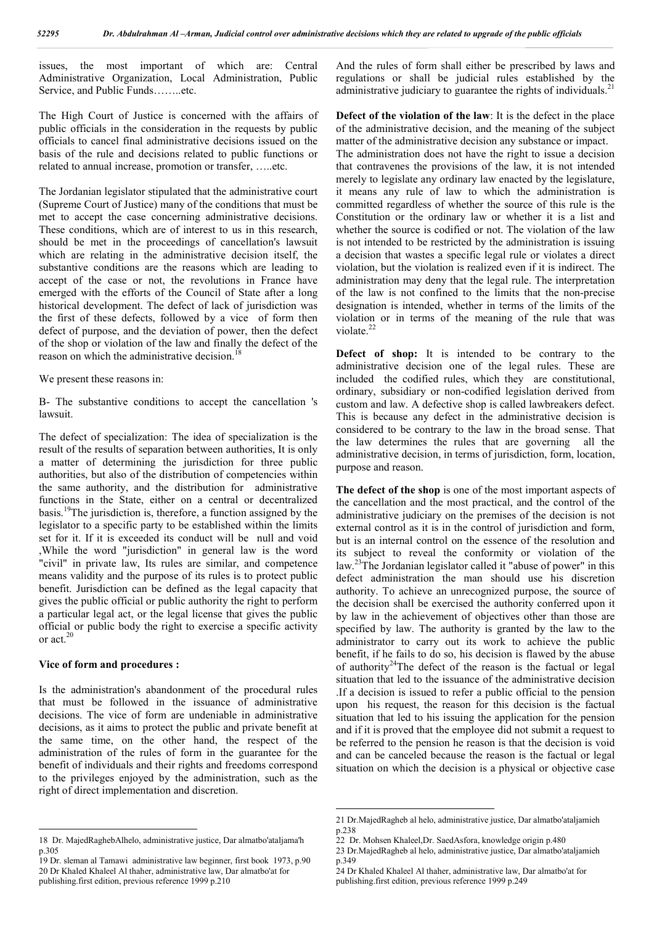issues, the most important of which are: Central Administrative Organization, Local Administration, Public Service, and Public Funds……..etc.

The High Court of Justice is concerned with the affairs of public officials in the consideration in the requests by public officials to cancel final administrative decisions issued on the basis of the rule and decisions related to public functions or related to annual increase, promotion or transfer, …..etc.

The Jordanian legislator stipulated that the administrative court (Supreme Court of Justice) many of the conditions that must be met to accept the case concerning administrative decisions. These conditions, which are of interest to us in this research, should be met in the proceedings of cancellation's lawsuit which are relating in the administrative decision itself, the substantive conditions are the reasons which are leading to accept of the case or not, the revolutions in France have emerged with the efforts of the Council of State after a long historical development. The defect of lack of jurisdiction was the first of these defects, followed by a vice of form then defect of purpose, and the deviation of power, then the defect of the shop or violation of the law and finally the defect of the reason on which the administrative decision.<sup>18</sup>

We present these reasons in:

B- The substantive conditions to accept the cancellation 's lawsuit.

The defect of specialization: The idea of specialization is the result of the results of separation between authorities, It is only a matter of determining the jurisdiction for three public authorities, but also of the distribution of competencies within the same authority, and the distribution for administrative functions in the State, either on a central or decentralized basis.19The jurisdiction is, therefore, a function assigned by the legislator to a specific party to be established within the limits set for it. If it is exceeded its conduct will be null and void ,While the word "jurisdiction" in general law is the word "civil" in private law, Its rules are similar, and competence means validity and the purpose of its rules is to protect public benefit. Jurisdiction can be defined as the legal capacity that gives the public official or public authority the right to perform a particular legal act, or the legal license that gives the public official or public body the right to exercise a specific activity or act.20

#### **Vice of form and procedures :**

Is the administration's abandonment of the procedural rules that must be followed in the issuance of administrative decisions. The vice of form are undeniable in administrative decisions, as it aims to protect the public and private benefit at the same time, on the other hand, the respect of the administration of the rules of form in the guarantee for the benefit of individuals and their rights and freedoms correspond to the privileges enjoyed by the administration, such as the right of direct implementation and discretion.

And the rules of form shall either be prescribed by laws and regulations or shall be judicial rules established by the administrative judiciary to guarantee the rights of individuals. $21$ 

**Defect of the violation of the law**: It is the defect in the place of the administrative decision, and the meaning of the subject matter of the administrative decision any substance or impact.

The administration does not have the right to issue a decision that contravenes the provisions of the law, it is not intended merely to legislate any ordinary law enacted by the legislature, it means any rule of law to which the administration is committed regardless of whether the source of this rule is the Constitution or the ordinary law or whether it is a list and whether the source is codified or not. The violation of the law is not intended to be restricted by the administration is issuing a decision that wastes a specific legal rule or violates a direct violation, but the violation is realized even if it is indirect. The administration may deny that the legal rule. The interpretation of the law is not confined to the limits that the non-precise designation is intended, whether in terms of the limits of the violation or in terms of the meaning of the rule that was violate.<sup>22</sup>

**Defect of shop:** It is intended to be contrary to the administrative decision one of the legal rules. These are included the codified rules, which they are constitutional, ordinary, subsidiary or non-codified legislation derived from custom and law. A defective shop is called lawbreakers defect. This is because any defect in the administrative decision is considered to be contrary to the law in the broad sense. That the law determines the rules that are governing all the administrative decision, in terms of jurisdiction, form, location, purpose and reason.

**The defect of the shop** is one of the most important aspects of the cancellation and the most practical, and the control of the administrative judiciary on the premises of the decision is not external control as it is in the control of jurisdiction and form, but is an internal control on the essence of the resolution and its subject to reveal the conformity or violation of the law.23The Jordanian legislator called it "abuse of power" in this defect administration the man should use his discretion authority. To achieve an unrecognized purpose, the source of the decision shall be exercised the authority conferred upon it by law in the achievement of objectives other than those are specified by law. The authority is granted by the law to the administrator to carry out its work to achieve the public benefit, if he fails to do so, his decision is flawed by the abuse of authority<sup>24</sup>The defect of the reason is the factual or legal situation that led to the issuance of the administrative decision .If a decision is issued to refer a public official to the pension upon his request, the reason for this decision is the factual situation that led to his issuing the application for the pension and if it is proved that the employee did not submit a request to be referred to the pension he reason is that the decision is void and can be canceled because the reason is the factual or legal situation on which the decision is a physical or objective case

 <sup>18</sup> Dr. MajedRaghebAlhelo, administrative justice, Dar almatbo'ataljama'h p.305

<sup>19</sup> Dr. sleman al Tamawi administrative law beginner, first book 1973, p.90 20 Dr Khaled Khaleel Al thaher, administrative law, Dar almatbo'at for publishing.first edition, previous reference 1999 p.210

 <sup>21</sup> Dr.MajedRagheb al helo, administrative justice, Dar almatbo'ataljamieh p.238

<sup>22</sup> Dr. Mohsen Khaleel,Dr. SaedAsfora, knowledge origin p.480

<sup>23</sup> Dr.MajedRagheb al helo, administrative justice, Dar almatbo'ataljamieh p.349

<sup>24</sup> Dr Khaled Khaleel Al thaher, administrative law, Dar almatbo'at for publishing.first edition, previous reference 1999 p.249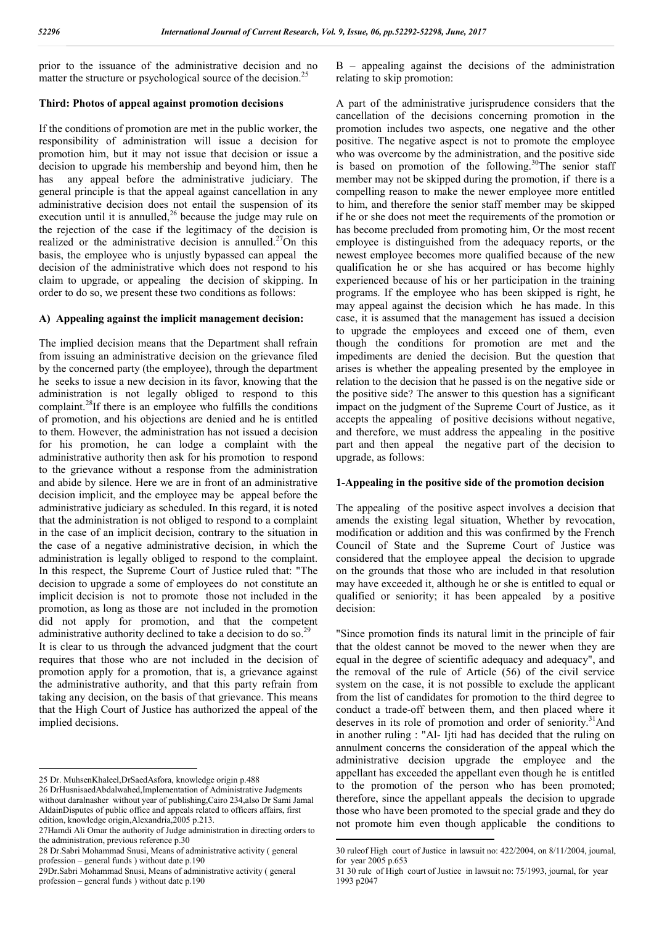prior to the issuance of the administrative decision and no matter the structure or psychological source of the decision.<sup>25</sup>

#### **Third: Photos of appeal against promotion decisions**

If the conditions of promotion are met in the public worker, the responsibility of administration will issue a decision for promotion him, but it may not issue that decision or issue a decision to upgrade his membership and beyond him, then he has any appeal before the administrative judiciary. The general principle is that the appeal against cancellation in any administrative decision does not entail the suspension of its execution until it is annulled, $26$  because the judge may rule on the rejection of the case if the legitimacy of the decision is realized or the administrative decision is annulled.<sup>27</sup>On this basis, the employee who is unjustly bypassed can appeal the decision of the administrative which does not respond to his claim to upgrade, or appealing the decision of skipping. In order to do so, we present these two conditions as follows:

#### **A) Appealing against the implicit management decision:**

The implied decision means that the Department shall refrain from issuing an administrative decision on the grievance filed by the concerned party (the employee), through the department he seeks to issue a new decision in its favor, knowing that the administration is not legally obliged to respond to this complaint.28If there is an employee who fulfills the conditions of promotion, and his objections are denied and he is entitled to them. However, the administration has not issued a decision for his promotion, he can lodge a complaint with the administrative authority then ask for his promotion to respond to the grievance without a response from the administration and abide by silence. Here we are in front of an administrative decision implicit, and the employee may be appeal before the administrative judiciary as scheduled. In this regard, it is noted that the administration is not obliged to respond to a complaint in the case of an implicit decision, contrary to the situation in the case of a negative administrative decision, in which the administration is legally obliged to respond to the complaint. In this respect, the Supreme Court of Justice ruled that: "The decision to upgrade a some of employees do not constitute an implicit decision is not to promote those not included in the promotion, as long as those are not included in the promotion did not apply for promotion, and that the competent administrative authority declined to take a decision to do so.<sup>29</sup> It is clear to us through the advanced judgment that the court requires that those who are not included in the decision of promotion apply for a promotion, that is, a grievance against the administrative authority, and that this party refrain from taking any decision, on the basis of that grievance. This means that the High Court of Justice has authorized the appeal of the implied decisions.

B – appealing against the decisions of the administration relating to skip promotion:

A part of the administrative jurisprudence considers that the cancellation of the decisions concerning promotion in the promotion includes two aspects, one negative and the other positive. The negative aspect is not to promote the employee who was overcome by the administration, and the positive side is based on promotion of the following.<sup>30</sup>The senior staff member may not be skipped during the promotion, if there is a compelling reason to make the newer employee more entitled to him, and therefore the senior staff member may be skipped if he or she does not meet the requirements of the promotion or has become precluded from promoting him, Or the most recent employee is distinguished from the adequacy reports, or the newest employee becomes more qualified because of the new qualification he or she has acquired or has become highly experienced because of his or her participation in the training programs. If the employee who has been skipped is right, he may appeal against the decision which he has made. In this case, it is assumed that the management has issued a decision to upgrade the employees and exceed one of them, even though the conditions for promotion are met and the impediments are denied the decision. But the question that arises is whether the appealing presented by the employee in relation to the decision that he passed is on the negative side or the positive side? The answer to this question has a significant impact on the judgment of the Supreme Court of Justice, as it accepts the appealing of positive decisions without negative, and therefore, we must address the appealing in the positive part and then appeal the negative part of the decision to upgrade, as follows:

#### **1-Appealing in the positive side of the promotion decision**

The appealing of the positive aspect involves a decision that amends the existing legal situation, Whether by revocation, modification or addition and this was confirmed by the French Council of State and the Supreme Court of Justice was considered that the employee appeal the decision to upgrade on the grounds that those who are included in that resolution may have exceeded it, although he or she is entitled to equal or qualified or seniority; it has been appealed by a positive decision:

"Since promotion finds its natural limit in the principle of fair that the oldest cannot be moved to the newer when they are equal in the degree of scientific adequacy and adequacy", and the removal of the rule of Article (56) of the civil service system on the case, it is not possible to exclude the applicant from the list of candidates for promotion to the third degree to conduct a trade-off between them, and then placed where it deserves in its role of promotion and order of seniority.<sup>31</sup>And in another ruling : "Al- Ijti had has decided that the ruling on annulment concerns the consideration of the appeal which the administrative decision upgrade the employee and the appellant has exceeded the appellant even though he is entitled to the promotion of the person who has been promoted; therefore, since the appellant appeals the decision to upgrade those who have been promoted to the special grade and they do not promote him even though applicable the conditions to

 <sup>25</sup> Dr. MuhsenKhaleel,DrSaedAsfora, knowledge origin p.488

<sup>26</sup> DrHusnisaedAbdalwahed,Implementation of Administrative Judgments without daralnasher without year of publishing,Cairo 234,also Dr Sami Jamal AldainDisputes of public office and appeals related to officers affairs, first edition, knowledge origin,Alexandria,2005 p.213.

<sup>27</sup>Hamdi Ali Omar the authority of Judge administration in directing orders to the administration, previous reference p.30

<sup>28</sup> Dr.Sabri Mohammad Snusi, Means of administrative activity ( general profession – general funds ) without date p.190

<sup>29</sup>Dr.Sabri Mohammad Snusi, Means of administrative activity ( general profession – general funds ) without date p.190

 <sup>30</sup> ruleof High court of Justice in lawsuit no: 422/2004, on 8/11/2004, journal, for year 2005 p.653

<sup>31 30</sup> rule of High court of Justice in lawsuit no: 75/1993, journal, for year 1993 p2047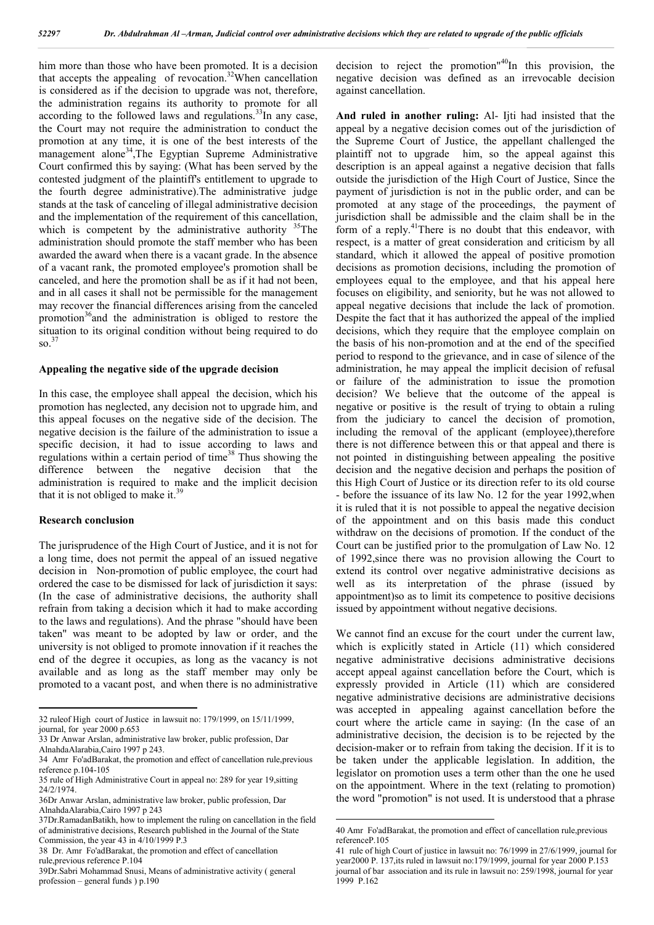him more than those who have been promoted. It is a decision that accepts the appealing of revocation.<sup>32</sup>When cancellation is considered as if the decision to upgrade was not, therefore, the administration regains its authority to promote for all according to the followed laws and regulations.<sup>33</sup>In any case, the Court may not require the administration to conduct the promotion at any time, it is one of the best interests of the management alone<sup>34</sup>,The Egyptian Supreme Administrative Court confirmed this by saying: (What has been served by the contested judgment of the plaintiff's entitlement to upgrade to the fourth degree administrative).The administrative judge stands at the task of canceling of illegal administrative decision and the implementation of the requirement of this cancellation, which is competent by the administrative authority  $35$ The administration should promote the staff member who has been awarded the award when there is a vacant grade. In the absence of a vacant rank, the promoted employee's promotion shall be canceled, and here the promotion shall be as if it had not been, and in all cases it shall not be permissible for the management may recover the financial differences arising from the canceled promotion<sup>36</sup> and the administration is obliged to restore the situation to its original condition without being required to do  $\mathrm{so}^{\,37}$ 

#### **Appealing the negative side of the upgrade decision**

In this case, the employee shall appeal the decision, which his promotion has neglected, any decision not to upgrade him, and this appeal focuses on the negative side of the decision. The negative decision is the failure of the administration to issue a specific decision, it had to issue according to laws and regulations within a certain period of time<sup>38</sup> Thus showing the difference between the negative decision that the administration is required to make and the implicit decision that it is not obliged to make it.<sup>39</sup>

#### **Research conclusion**

The jurisprudence of the High Court of Justice, and it is not for a long time, does not permit the appeal of an issued negative decision in Non-promotion of public employee, the court had ordered the case to be dismissed for lack of jurisdiction it says: (In the case of administrative decisions, the authority shall refrain from taking a decision which it had to make according to the laws and regulations). And the phrase "should have been taken" was meant to be adopted by law or order, and the university is not obliged to promote innovation if it reaches the end of the degree it occupies, as long as the vacancy is not available and as long as the staff member may only be promoted to a vacant post, and when there is no administrative

decision to reject the promotion" 40In this provision, the negative decision was defined as an irrevocable decision against cancellation.

**And ruled in another ruling:** Al- Ijti had insisted that the appeal by a negative decision comes out of the jurisdiction of the Supreme Court of Justice, the appellant challenged the plaintiff not to upgrade him, so the appeal against this description is an appeal against a negative decision that falls outside the jurisdiction of the High Court of Justice, Since the payment of jurisdiction is not in the public order, and can be promoted at any stage of the proceedings, the payment of jurisdiction shall be admissible and the claim shall be in the form of a reply.<sup>41</sup>There is no doubt that this endeavor, with respect, is a matter of great consideration and criticism by all standard, which it allowed the appeal of positive promotion decisions as promotion decisions, including the promotion of employees equal to the employee, and that his appeal here focuses on eligibility, and seniority, but he was not allowed to appeal negative decisions that include the lack of promotion. Despite the fact that it has authorized the appeal of the implied decisions, which they require that the employee complain on the basis of his non-promotion and at the end of the specified period to respond to the grievance, and in case of silence of the administration, he may appeal the implicit decision of refusal or failure of the administration to issue the promotion decision? We believe that the outcome of the appeal is negative or positive is the result of trying to obtain a ruling from the judiciary to cancel the decision of promotion, including the removal of the applicant (employee),therefore there is not difference between this or that appeal and there is not pointed in distinguishing between appealing the positive decision and the negative decision and perhaps the position of this High Court of Justice or its direction refer to its old course - before the issuance of its law No. 12 for the year 1992,when it is ruled that it is not possible to appeal the negative decision of the appointment and on this basis made this conduct withdraw on the decisions of promotion. If the conduct of the Court can be justified prior to the promulgation of Law No. 12 of 1992,since there was no provision allowing the Court to extend its control over negative administrative decisions as well as its interpretation of the phrase (issued by appointment)so as to limit its competence to positive decisions issued by appointment without negative decisions.

We cannot find an excuse for the court under the current law, which is explicitly stated in Article (11) which considered negative administrative decisions administrative decisions accept appeal against cancellation before the Court, which is expressly provided in Article (11) which are considered negative administrative decisions are administrative decisions was accepted in appealing against cancellation before the court where the article came in saying: (In the case of an administrative decision, the decision is to be rejected by the decision-maker or to refrain from taking the decision. If it is to be taken under the applicable legislation. In addition, the legislator on promotion uses a term other than the one he used on the appointment. Where in the text (relating to promotion) the word "promotion" is not used. It is understood that a phrase

 <sup>32</sup> ruleof High court of Justice in lawsuit no: 179/1999, on 15/11/1999, journal, for year 2000 p.653

<sup>33</sup> Dr Anwar Arslan, administrative law broker, public profession, Dar AlnahdaAlarabia,Cairo 1997 p 243.

<sup>34</sup> Amr Fo'adBarakat, the promotion and effect of cancellation rule,previous reference p.104-105

<sup>35</sup> rule of High Administrative Court in appeal no: 289 for year 19,sitting 24/2/1974.

<sup>36</sup>Dr Anwar Arslan, administrative law broker, public profession, Dar AlnahdaAlarabia,Cairo 1997 p 243

<sup>37</sup>Dr.RamadanBatikh, how to implement the ruling on cancellation in the field of administrative decisions, Research published in the Journal of the State Commission, the year 43 in 4/10/1999 P.3

<sup>38</sup> Dr. Amr Fo'adBarakat, the promotion and effect of cancellation rule,previous reference P.104

<sup>39</sup>Dr.Sabri Mohammad Snusi, Means of administrative activity ( general profession – general funds ) p.190

 <sup>40</sup> Amr Fo'adBarakat, the promotion and effect of cancellation rule,previous referenceP.105

<sup>41</sup> rule of high Court of justice in lawsuit no: 76/1999 in 27/6/1999, journal for year2000 P. 137, its ruled in lawsuit no:179/1999, journal for year 2000 P.153 journal of bar association and its rule in lawsuit no: 259/1998, journal for year 1999 P.162